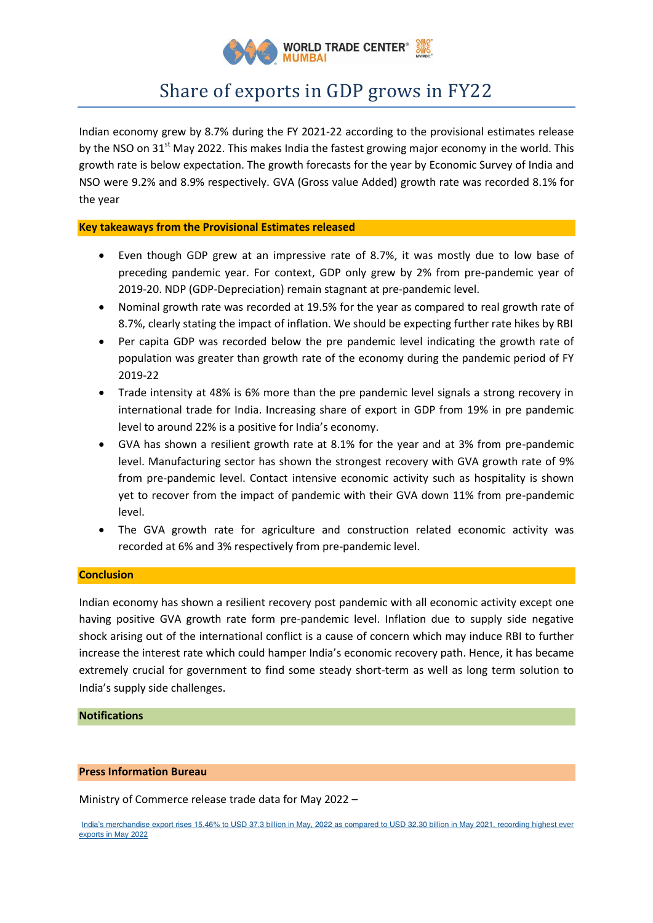

# Share of exports in GDP grows in FY22

Indian economy grew by 8.7% during the FY 2021-22 according to the provisional estimates release by the NSO on 31<sup>st</sup> May 2022. This makes India the fastest growing major economy in the world. This growth rate is below expectation. The growth forecasts for the year by Economic Survey of India and NSO were 9.2% and 8.9% respectively. GVA (Gross value Added) growth rate was recorded 8.1% for the year

## **Key takeaways from the Provisional Estimates released**

- Even though GDP grew at an impressive rate of 8.7%, it was mostly due to low base of preceding pandemic year. For context, GDP only grew by 2% from pre-pandemic year of 2019-20. NDP (GDP-Depreciation) remain stagnant at pre-pandemic level.
- Nominal growth rate was recorded at 19.5% for the year as compared to real growth rate of 8.7%, clearly stating the impact of inflation. We should be expecting further rate hikes by RBI
- Per capita GDP was recorded below the pre pandemic level indicating the growth rate of population was greater than growth rate of the economy during the pandemic period of FY 2019-22
- Trade intensity at 48% is 6% more than the pre pandemic level signals a strong recovery in international trade for India. Increasing share of export in GDP from 19% in pre pandemic level to around 22% is a positive for India's economy.
- GVA has shown a resilient growth rate at 8.1% for the year and at 3% from pre-pandemic level. Manufacturing sector has shown the strongest recovery with GVA growth rate of 9% from pre-pandemic level. Contact intensive economic activity such as hospitality is shown yet to recover from the impact of pandemic with their GVA down 11% from pre-pandemic level.
- The GVA growth rate for agriculture and construction related economic activity was recorded at 6% and 3% respectively from pre-pandemic level.

### **Conclusion**

Indian economy has shown a resilient recovery post pandemic with all economic activity except one having positive GVA growth rate form pre-pandemic level. Inflation due to supply side negative shock arising out of the international conflict is a cause of concern which may induce RBI to further increase the interest rate which could hamper India's economic recovery path. Hence, it has became extremely crucial for government to find some steady short-term as well as long term solution to India's supply side challenges.

### **Notifications**

#### **Press Information Bureau**

Ministry of Commerce release trade data for May 2022 –

[India's merchandise export rises 15.46% to USD 37.3 billion in May, 2022 as compared to USD 32.30 billion in May 2021, recording highest ever](https://www.pib.gov.in/PressReleasePage.aspx?PRID=1830606)  [exports in May 2022](https://www.pib.gov.in/PressReleasePage.aspx?PRID=1830606)